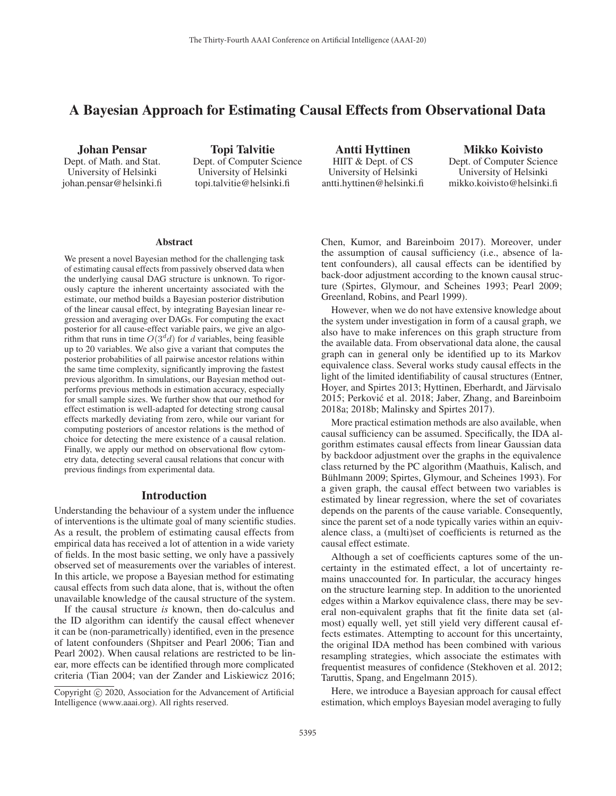# A Bayesian Approach for Estimating Causal Effects from Observational Data

Johan Pensar Dept. of Math. and Stat. University of Helsinki johan.pensar@helsinki.fi

Topi Talvitie Dept. of Computer Science University of Helsinki topi.talvitie@helsinki.fi

Antti Hyttinen HIIT & Dept. of CS University of Helsinki antti.hyttinen@helsinki.fi

Mikko Koivisto Dept. of Computer Science University of Helsinki mikko.koivisto@helsinki.fi

#### Abstract

We present a novel Bayesian method for the challenging task of estimating causal effects from passively observed data when the underlying causal DAG structure is unknown. To rigorously capture the inherent uncertainty associated with the estimate, our method builds a Bayesian posterior distribution of the linear causal effect, by integrating Bayesian linear regression and averaging over DAGs. For computing the exact posterior for all cause-effect variable pairs, we give an algorithm that runs in time  $O(3^d d)$  for d variables, being feasible up to 20 variables. We also give a variant that computes the posterior probabilities of all pairwise ancestor relations within the same time complexity, significantly improving the fastest previous algorithm. In simulations, our Bayesian method outperforms previous methods in estimation accuracy, especially for small sample sizes. We further show that our method for effect estimation is well-adapted for detecting strong causal effects markedly deviating from zero, while our variant for computing posteriors of ancestor relations is the method of choice for detecting the mere existence of a causal relation. Finally, we apply our method on observational flow cytometry data, detecting several causal relations that concur with previous findings from experimental data.

#### Introduction

Understanding the behaviour of a system under the influence of interventions is the ultimate goal of many scientific studies. As a result, the problem of estimating causal effects from empirical data has received a lot of attention in a wide variety of fields. In the most basic setting, we only have a passively observed set of measurements over the variables of interest. In this article, we propose a Bayesian method for estimating causal effects from such data alone, that is, without the often unavailable knowledge of the causal structure of the system.

If the causal structure *is* known, then do-calculus and the ID algorithm can identify the causal effect whenever it can be (non-parametrically) identified, even in the presence of latent confounders (Shpitser and Pearl 2006; Tian and Pearl 2002). When causal relations are restricted to be linear, more effects can be identified through more complicated criteria (Tian 2004; van der Zander and Liskiewicz 2016; Chen, Kumor, and Bareinboim 2017). Moreover, under the assumption of causal sufficiency (i.e., absence of latent confounders), all causal effects can be identified by back-door adjustment according to the known causal structure (Spirtes, Glymour, and Scheines 1993; Pearl 2009; Greenland, Robins, and Pearl 1999).

However, when we do not have extensive knowledge about the system under investigation in form of a causal graph, we also have to make inferences on this graph structure from the available data. From observational data alone, the causal graph can in general only be identified up to its Markov equivalence class. Several works study causal effects in the light of the limited identifiability of causal structures (Entner, Hoyer, and Spirtes 2013; Hyttinen, Eberhardt, and Järvisalo 2015; Perković et al. 2018; Jaber, Zhang, and Bareinboim 2018a; 2018b; Malinsky and Spirtes 2017).

More practical estimation methods are also available, when causal sufficiency can be assumed. Specifically, the IDA algorithm estimates causal effects from linear Gaussian data by backdoor adjustment over the graphs in the equivalence class returned by the PC algorithm (Maathuis, Kalisch, and Bühlmann 2009; Spirtes, Glymour, and Scheines 1993). For a given graph, the causal effect between two variables is estimated by linear regression, where the set of covariates depends on the parents of the cause variable. Consequently, since the parent set of a node typically varies within an equivalence class, a (multi)set of coefficients is returned as the causal effect estimate.

Although a set of coefficients captures some of the uncertainty in the estimated effect, a lot of uncertainty remains unaccounted for. In particular, the accuracy hinges on the structure learning step. In addition to the unoriented edges within a Markov equivalence class, there may be several non-equivalent graphs that fit the finite data set (almost) equally well, yet still yield very different causal effects estimates. Attempting to account for this uncertainty, the original IDA method has been combined with various resampling strategies, which associate the estimates with frequentist measures of confidence (Stekhoven et al. 2012; Taruttis, Spang, and Engelmann 2015).

Here, we introduce a Bayesian approach for causal effect estimation, which employs Bayesian model averaging to fully

Copyright  $\odot$  2020, Association for the Advancement of Artificial Intelligence (www.aaai.org). All rights reserved.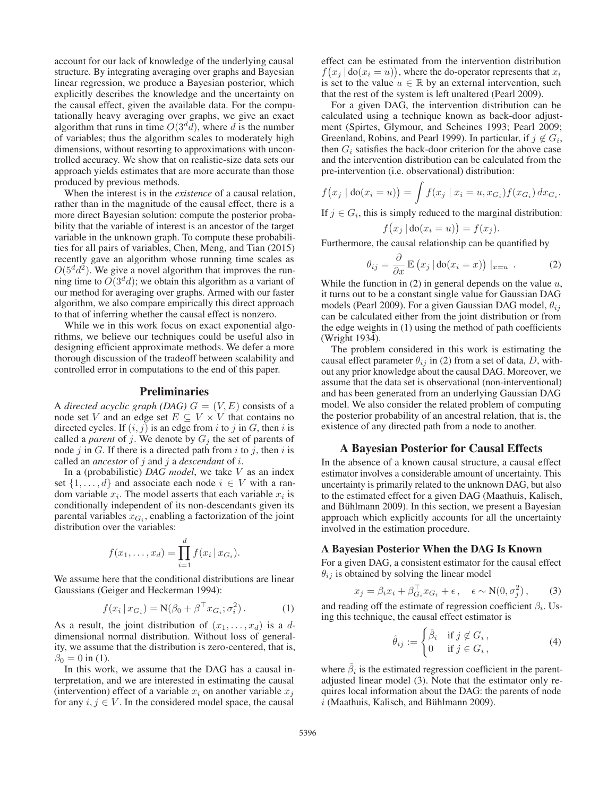account for our lack of knowledge of the underlying causal structure. By integrating averaging over graphs and Bayesian linear regression, we produce a Bayesian posterior, which explicitly describes the knowledge and the uncertainty on the causal effect, given the available data. For the computationally heavy averaging over graphs, we give an exact algorithm that runs in time  $O(3^d d)$ , where d is the number of variables; thus the algorithm scales to moderately high dimensions, without resorting to approximations with uncontrolled accuracy. We show that on realistic-size data sets our approach yields estimates that are more accurate than those produced by previous methods.

When the interest is in the *existence* of a causal relation, rather than in the magnitude of the causal effect, there is a more direct Bayesian solution: compute the posterior probability that the variable of interest is an ancestor of the target variable in the unknown graph. To compute these probabilities for all pairs of variables, Chen, Meng, and Tian (2015) recently gave an algorithm whose running time scales as  $O(5^d d^2)$ . We give a novel algorithm that improves the running time to  $O(3^d d)$ ; we obtain this algorithm as a variant of our method for averaging over graphs. Armed with our faster algorithm, we also compare empirically this direct approach to that of inferring whether the causal effect is nonzero.

While we in this work focus on exact exponential algorithms, we believe our techniques could be useful also in designing efficient approximate methods. We defer a more thorough discussion of the tradeoff between scalability and controlled error in computations to the end of this paper.

## Preliminaries

A *directed acyclic graph (DAG)*  $G = (V, E)$  consists of a node set V and an edge set  $E \subseteq V \times V$  that contains no directed cycles. If  $(i, j)$  is an edge from i to j in G, then i is called a *parent* of j. We denote by  $G_i$  the set of parents of node j in G. If there is a directed path from i to j, then i is called an *ancestor* of j and j a *descendant* of i.

In a (probabilistic) *DAG model*, we take V as an index set  $\{1,\ldots,d\}$  and associate each node  $i \in V$  with a random variable  $x_i$ . The model asserts that each variable  $x_i$  is conditionally independent of its non-descendants given its parental variables  $x_{G_i}$ , enabling a factorization of the joint distribution over the variables:

$$
f(x_1,...,x_d) = \prod_{i=1}^d f(x_i \,|\, x_{G_i}).
$$

We assume here that the conditional distributions are linear Gaussians (Geiger and Heckerman 1994):

$$
f(x_i | x_{G_i}) = \mathbf{N}(\beta_0 + \beta^\top x_{G_i}; \sigma_i^2). \tag{1}
$$

As a result, the joint distribution of  $(x_1,...,x_d)$  is a ddimensional normal distribution. Without loss of generality, we assume that the distribution is zero-centered, that is,  $\beta_0 = 0$  in (1).

In this work, we assume that the DAG has a causal interpretation, and we are interested in estimating the causal (intervention) effect of a variable  $x_i$  on another variable  $x_j$ for any  $i, j \in V$ . In the considered model space, the causal

effect can be estimated from the intervention distribution  $f(x_i | \text{do}(x_i = u))$ , where the do-operator represents that  $x_i$ is set to the value  $u \in \mathbb{R}$  by an external intervention, such that the rest of the system is left unaltered (Pearl 2009).

For a given DAG, the intervention distribution can be calculated using a technique known as back-door adjustment (Spirtes, Glymour, and Scheines 1993; Pearl 2009; Greenland, Robins, and Pearl 1999). In particular, if  $j \notin G_i$ , then  $G_i$  satisfies the back-door criterion for the above case and the intervention distribution can be calculated from the pre-intervention (i.e. observational) distribution:

$$
f(x_j | \text{do}(x_i = u)) = \int f(x_j | x_i = u, x_{G_i}) f(x_{G_i}) dx_{G_i}.
$$

If  $j \in G_i$ , this is simply reduced to the marginal distribution:

$$
f(x_j | \text{do}(x_i = u)) = f(x_j).
$$

Furthermore, the causal relationship can be quantified by

$$
\theta_{ij} = \frac{\partial}{\partial x} \mathbb{E} \left( x_j \, | \, \text{do}(x_i = x) \right) \, |_{x = u} \, . \tag{2}
$$

While the function in (2) in general depends on the value  $u$ , it turns out to be a constant single value for Gaussian DAG models (Pearl 2009). For a given Gaussian DAG model,  $\theta_{ij}$ can be calculated either from the joint distribution or from the edge weights in (1) using the method of path coefficients (Wright 1934).

The problem considered in this work is estimating the causal effect parameter  $\theta_{ij}$  in (2) from a set of data, D, without any prior knowledge about the causal DAG. Moreover, we assume that the data set is observational (non-interventional) and has been generated from an underlying Gaussian DAG model. We also consider the related problem of computing the posterior probability of an ancestral relation, that is, the existence of any directed path from a node to another.

## A Bayesian Posterior for Causal Effects

In the absence of a known causal structure, a causal effect estimator involves a considerable amount of uncertainty. This uncertainty is primarily related to the unknown DAG, but also to the estimated effect for a given DAG (Maathuis, Kalisch, and Bühlmann 2009). In this section, we present a Bayesian approach which explicitly accounts for all the uncertainty involved in the estimation procedure.

#### A Bayesian Posterior When the DAG Is Known

For a given DAG, a consistent estimator for the causal effect  $\theta_{ij}$  is obtained by solving the linear model

$$
x_j = \beta_i x_i + \beta_{G_i}^{\top} x_{G_i} + \epsilon, \quad \epsilon \sim \mathcal{N}(0, \sigma_j^2), \tag{3}
$$

and reading off the estimate of regression coefficient  $\beta_i$ . Using this technique, the causal effect estimator is

$$
\hat{\theta}_{ij} := \begin{cases} \hat{\beta}_i & \text{if } j \notin G_i, \\ 0 & \text{if } j \in G_i, \end{cases}
$$
 (4)

where  $\hat{\beta}_i$  is the estimated regression coefficient in the parentadjusted linear model (3). Note that the estimator only requires local information about the DAG: the parents of node  $i$  (Maathuis, Kalisch, and Bühlmann 2009).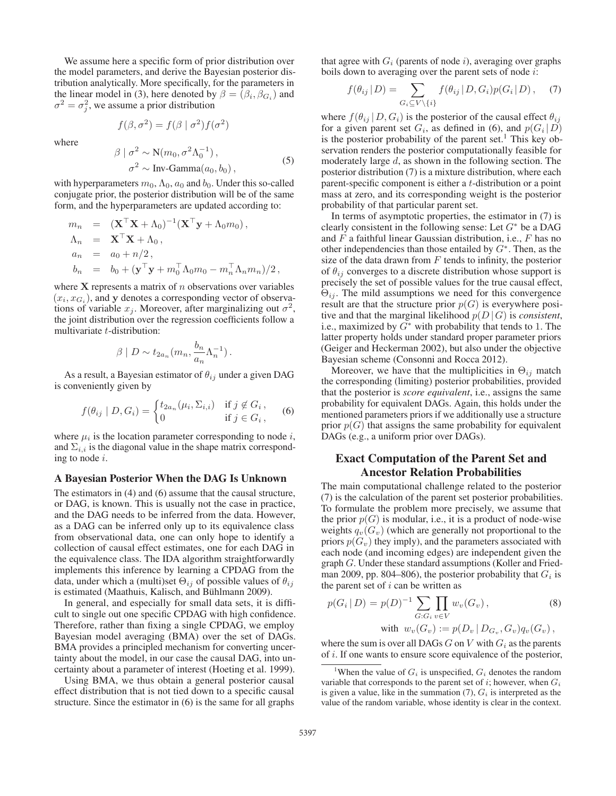We assume here a specific form of prior distribution over the model parameters, and derive the Bayesian posterior distribution analytically. More specifically, for the parameters in the linear model in (3), here denoted by  $\beta = (\beta_i, \beta_{G_i})$  and  $\sigma^2 = \sigma_i^2$ , we assume a prior distribution

$$
f(\beta, \sigma^2) = f(\beta \mid \sigma^2) f(\sigma^2)
$$

where

$$
\beta \mid \sigma^2 \sim \mathcal{N}(m_0, \sigma^2 \Lambda_0^{-1}),
$$
  
\n
$$
\sigma^2 \sim \text{Inv-Gamma}(a_0, b_0),
$$
\n(5)

with hyperparameters  $m_0$ ,  $\Lambda_0$ ,  $a_0$  and  $b_0$ . Under this so-called conjugate prior, the posterior distribution will be of the same form, and the hyperparameters are updated according to:

$$
m_n = (\mathbf{X}^\top \mathbf{X} + \Lambda_0)^{-1} (\mathbf{X}^\top \mathbf{y} + \Lambda_0 m_0),
$$
  
\n
$$
\Lambda_n = \mathbf{X}^\top \mathbf{X} + \Lambda_0,
$$
  
\n
$$
a_n = a_0 + n/2,
$$
  
\n
$$
b_n = b_0 + (\mathbf{y}^\top \mathbf{y} + m_0^\top \Lambda_0 m_0 - m_n^\top \Lambda_n m_n)/2,
$$

where  $X$  represents a matrix of  $n$  observations over variables  $(x_i, x_{G_i})$ , and **y** denotes a corresponding vector of observations of variable  $x_j$ . Moreover, after marginalizing out  $\sigma^2$ , the joint distribution over the regression coefficients follow a multivariate t-distribution:

$$
\beta \mid D \sim t_{2a_n}(m_n, \frac{b_n}{a_n} \Lambda_n^{-1}).
$$

As a result, a Bayesian estimator of  $\theta_{ij}$  under a given DAG is conveniently given by

$$
f(\theta_{ij} \mid D, G_i) = \begin{cases} t_{2a_n}(\mu_i, \Sigma_{i,i}) & \text{if } j \notin G_i, \\ 0 & \text{if } j \in G_i, \end{cases}
$$
 (6)

where  $\mu_i$  is the location parameter corresponding to node i, and  $\Sigma_{i,i}$  is the diagonal value in the shape matrix corresponding to node i.

#### A Bayesian Posterior When the DAG Is Unknown

The estimators in (4) and (6) assume that the causal structure, or DAG, is known. This is usually not the case in practice, and the DAG needs to be inferred from the data. However, as a DAG can be inferred only up to its equivalence class from observational data, one can only hope to identify a collection of causal effect estimates, one for each DAG in the equivalence class. The IDA algorithm straightforwardly implements this inference by learning a CPDAG from the data, under which a (multi)set  $\Theta_{ij}$  of possible values of  $\theta_{ij}$ is estimated (Maathuis, Kalisch, and Bühlmann 2009).

In general, and especially for small data sets, it is difficult to single out one specific CPDAG with high confidence. Therefore, rather than fixing a single CPDAG, we employ Bayesian model averaging (BMA) over the set of DAGs. BMA provides a principled mechanism for converting uncertainty about the model, in our case the causal DAG, into uncertainty about a parameter of interest (Hoeting et al. 1999).

Using BMA, we thus obtain a general posterior causal effect distribution that is not tied down to a specific causal structure. Since the estimator in (6) is the same for all graphs

that agree with  $G_i$  (parents of node i), averaging over graphs boils down to averaging over the parent sets of node i:

$$
f(\theta_{ij} | D) = \sum_{G_i \subseteq V \setminus \{i\}} f(\theta_{ij} | D, G_i) p(G_i | D), \quad (7)
$$

where  $f(\theta_{ij} | D, G_i)$  is the posterior of the causal effect  $\theta_{ij}$ for a given parent set  $G_i$ , as defined in (6), and  $p(G_i | D)$ is the posterior probability of the parent set.<sup>1</sup> This key observation renders the posterior computationally feasible for moderately large  $d$ , as shown in the following section. The posterior distribution (7) is a mixture distribution, where each parent-specific component is either a t-distribution or a point mass at zero, and its corresponding weight is the posterior probability of that particular parent set.

In terms of asymptotic properties, the estimator in (7) is clearly consistent in the following sense: Let  $G^*$  be a DAG and  $F$  a faithful linear Gaussian distribution, i.e.,  $F$  has no other independencies than those entailed by  $G^*$ . Then, as the size of the data drawn from  $F$  tends to infinity, the posterior of  $\theta_{ij}$  converges to a discrete distribution whose support is precisely the set of possible values for the true causal effect,  $\Theta_{ij}$ . The mild assumptions we need for this convergence result are that the structure prior  $p(G)$  is everywhere positive and that the marginal likelihood  $p(D|G)$  is *consistent*, i.e., maximized by  $G^*$  with probability that tends to 1. The latter property holds under standard proper parameter priors (Geiger and Heckerman 2002), but also under the objective Bayesian scheme (Consonni and Rocca 2012).

Moreover, we have that the multiplicities in  $\Theta_{ij}$  match the corresponding (limiting) posterior probabilities, provided that the posterior is *score equivalent*, i.e., assigns the same probability for equivalent DAGs. Again, this holds under the mentioned parameters priors if we additionally use a structure prior  $p(G)$  that assigns the same probability for equivalent DAGs (e.g., a uniform prior over DAGs).

## Exact Computation of the Parent Set and Ancestor Relation Probabilities

The main computational challenge related to the posterior (7) is the calculation of the parent set posterior probabilities. To formulate the problem more precisely, we assume that the prior  $p(G)$  is modular, i.e., it is a product of node-wise weights  $q_v(G_v)$  (which are generally not proportional to the priors  $p(G_v)$  they imply), and the parameters associated with each node (and incoming edges) are independent given the graph G. Under these standard assumptions (Koller and Friedman 2009, pp. 804–806), the posterior probability that  $G_i$  is the parent set of  $i$  can be written as

$$
p(G_i | D) = p(D)^{-1} \sum_{G: G_i} \prod_{v \in V} w_v(G_v),
$$
  
with  $w_v(G_v) := p(D_v | D_{G_v}, G_v) q_v(G_v),$ 

where the sum is over all DAGs  $G$  on  $V$  with  $G_i$  as the parents of i. If one wants to ensure score equivalence of the posterior,

<sup>&</sup>lt;sup>1</sup>When the value of  $G_i$  is unspecified,  $G_i$  denotes the random variable that corresponds to the parent set of i; however, when  $G_i$ is given a value, like in the summation  $(7)$ ,  $G_i$  is interpreted as the value of the random variable, whose identity is clear in the context.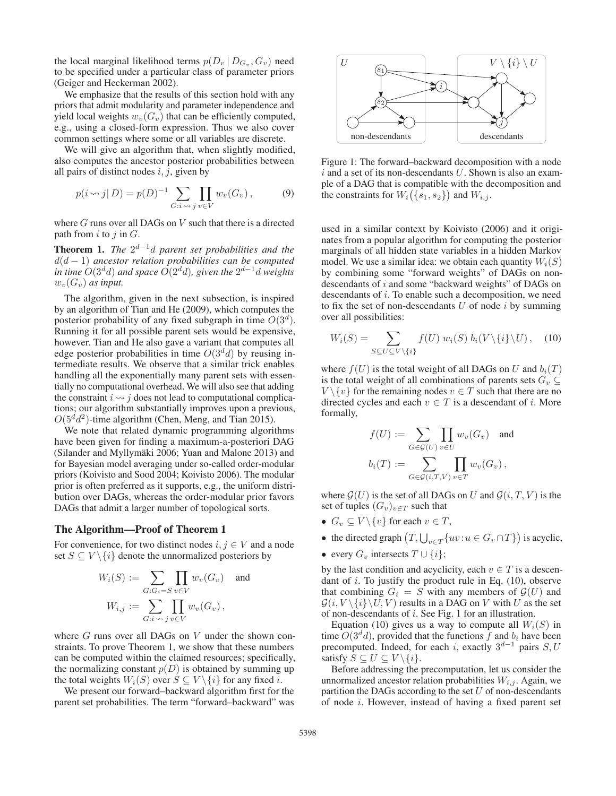the local marginal likelihood terms  $p(D_v | D_{G_v}, G_v)$  need to be specified under a particular class of parameter priors (Geiger and Heckerman 2002).

We emphasize that the results of this section hold with any priors that admit modularity and parameter independence and yield local weights  $w_v(G_v)$  that can be efficiently computed, e.g., using a closed-form expression. Thus we also cover common settings where some or all variables are discrete.

We will give an algorithm that, when slightly modified, also computes the ancestor posterior probabilities between all pairs of distinct nodes  $i, j$ , given by

$$
p(i \leadsto j | D) = p(D)^{-1} \sum_{G:i \leadsto j} \prod_{v \in V} w_v(G_v), \tag{9}
$$

where  $G$  runs over all DAGs on  $V$  such that there is a directed path from  $i$  to  $j$  in  $G$ .

Theorem 1. *The* 2d−1d *parent set probabilities and the* d(d − 1) *ancestor relation probabilities can be computed in time*  $O(3^d d)$  *and space*  $O(2^d d)$ *, given the*  $2^{d-1} d$  *weights*  $w_v(G_v)$  *as input.* 

The algorithm, given in the next subsection, is inspired by an algorithm of Tian and He (2009), which computes the posterior probability of any fixed subgraph in time  $O(3^d)$ . Running it for all possible parent sets would be expensive, however. Tian and He also gave a variant that computes all edge posterior probabilities in time  $O(3^d d)$  by reusing intermediate results. We observe that a similar trick enables handling all the exponentially many parent sets with essentially no computational overhead. We will also see that adding the constraint  $i \rightarrow j$  does not lead to computational complications; our algorithm substantially improves upon a previous,  $O(5^d d^2)$ -time algorithm (Chen, Meng, and Tian 2015).

We note that related dynamic programming algorithms have been given for finding a maximum-a-posteriori DAG (Silander and Myllymäki 2006; Yuan and Malone 2013) and for Bayesian model averaging under so-called order-modular priors (Koivisto and Sood 2004; Koivisto 2006). The modular prior is often preferred as it supports, e.g., the uniform distribution over DAGs, whereas the order-modular prior favors DAGs that admit a larger number of topological sorts.

#### The Algorithm—Proof of Theorem 1

For convenience, for two distinct nodes  $i, j \in V$  and a node set  $S \subseteq V \setminus \{i\}$  denote the unnormalized posteriors by

$$
W_i(S) := \sum_{G: G_i = S} \prod_{v \in V} w_v(G_v) \text{ and}
$$
  

$$
W_{i,j} := \sum_{G: i \leadsto j} \prod_{v \in V} w_v(G_v),
$$

where  $G$  runs over all DAGs on  $V$  under the shown constraints. To prove Theorem 1, we show that these numbers can be computed within the claimed resources; specifically, the normalizing constant  $p(D)$  is obtained by summing up the total weights  $W_i(S)$  over  $S \subseteq V \setminus \{i\}$  for any fixed i.

We present our forward–backward algorithm first for the parent set probabilities. The term "forward–backward" was



Figure 1: The forward–backward decomposition with a node  $i$  and a set of its non-descendants U. Shown is also an example of a DAG that is compatible with the decomposition and the constraints for  $W_i({s_1, s_2})$  and  $W_{i,j}$ .

used in a similar context by Koivisto (2006) and it originates from a popular algorithm for computing the posterior marginals of all hidden state variables in a hidden Markov model. We use a similar idea: we obtain each quantity  $W_i(S)$ by combining some "forward weights" of DAGs on nondescendants of i and some "backward weights" of DAGs on descendants of i. To enable such a decomposition, we need to fix the set of non-descendants  $U$  of node  $i$  by summing over all possibilities:

$$
W_i(S) = \sum_{S \subseteq U \subseteq V\setminus\{i\}} f(U) w_i(S) b_i(V \setminus \{i\} \setminus U), \quad (10)
$$

where  $f(U)$  is the total weight of all DAGs on U and  $b_i(T)$ is the total weight of all combinations of parents sets  $G_v \subseteq$  $V \setminus \{v\}$  for the remaining nodes  $v \in T$  such that there are no directed cycles and each  $v \in T$  is a descendant of *i*. More formally,

$$
f(U) := \sum_{G \in \mathcal{G}(U)} \prod_{v \in U} w_v(G_v) \text{ and}
$$

$$
b_i(T) := \sum_{G \in \mathcal{G}(i,T,V)} \prod_{v \in T} w_v(G_v),
$$

where  $G(U)$  is the set of all DAGs on U and  $G(i, T, V)$  is the set of tuples  $(G_v)_{v \in T}$  such that

- $G_v \subseteq V \setminus \{v\}$  for each  $v \in T$ ,
- the directed graph  $(T, \bigcup_{v \in T} \{uv : u \in G_v \cap T\})$  is acyclic,
- every  $G_v$  intersects  $T \cup \{i\};$

by the last condition and acyclicity, each  $v \in T$  is a descendant of  $i$ . To justify the product rule in Eq.  $(10)$ , observe that combining  $G_i = S$  with any members of  $\mathcal{G}(U)$  and  $\mathcal{G}(i, V \setminus \{i\} \setminus U, V )$  results in a DAG on V with U as the set of non-descendants of  $i$ . See Fig. 1 for an illustration.

Equation (10) gives us a way to compute all  $W_i(S)$  in time  $O(3^d d)$ , provided that the functions f and  $b_i$  have been precomputed. Indeed, for each i, exactly  $3^{d-1}$  pairs S, U satisfy  $S \subseteq U \subseteq V \setminus \{i\}.$ 

Before addressing the precomputation, let us consider the unnormalized ancestor relation probabilities  $W_{i,j}$ . Again, we partition the DAGs according to the set  $U$  of non-descendants of node i. However, instead of having a fixed parent set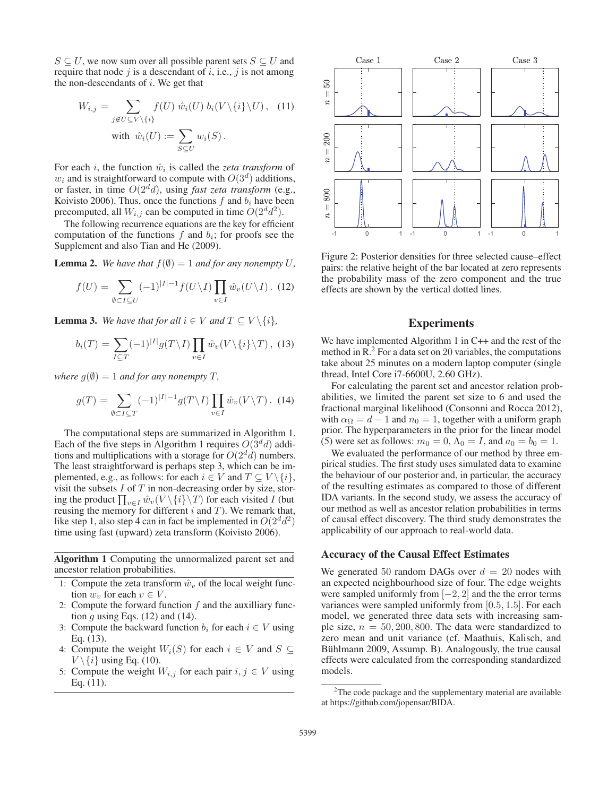$S \subseteq U$ , we now sum over all possible parent sets  $S \subseteq U$  and require that node  $j$  is a descendant of  $i$ , i.e.,  $j$  is not among the non-descendants of  $i$ . We get that

$$
W_{i,j} = \sum_{j \notin U \subseteq V \setminus \{i\}} f(U) \hat{w}_i(U) b_i(V \setminus \{i\} \setminus U), \quad (11)
$$
  
with  $\hat{w}_i(U) := \sum_{S \subseteq U} w_i(S).$ 

For each *i*, the function  $\hat{w}_i$  is called the *zeta transform* of  $w_i$  and is straightforward to compute with  $O(3^d)$  additions, or faster, in time  $O(2^d d)$ , using *fast zeta transform* (e.g., Koivisto 2006). Thus, once the functions  $f$  and  $b_i$  have been precomputed, all  $W_{i,j}$  can be computed in time  $O(2^d d^2)$ .

The following recurrence equations are the key for efficient computation of the functions f and  $b_i$ ; for proofs see the Supplement and also Tian and He (2009).

**Lemma 2.** *We have that*  $f(\emptyset) = 1$  *and for any nonempty* U,

$$
f(U) = \sum_{\emptyset \subset I \subseteq U} (-1)^{|I|-1} f(U \setminus I) \prod_{v \in I} \hat{w}_v(U \setminus I). \tag{12}
$$

**Lemma 3.** *We have that for all*  $i \in V$  *and*  $T \subseteq V \setminus \{i\}$ *,* 

$$
b_i(T) = \sum_{I \subseteq T} (-1)^{|I|} g(T \setminus I) \prod_{v \in I} \hat{w}_v(V \setminus \{i\} \setminus T), \quad (13)
$$

*where*  $g(\emptyset) = 1$  *and for any nonempty T*,

$$
g(T) = \sum_{\emptyset \subset I \subseteq T} (-1)^{|I|-1} g(T \setminus I) \prod_{v \in I} \hat{w}_v(V \setminus T). \tag{14}
$$

The computational steps are summarized in Algorithm 1. Each of the five steps in Algorithm 1 requires  $O(3^d d)$  additions and multiplications with a storage for  $O(2^d d)$  numbers. The least straightforward is perhaps step 3, which can be implemented, e.g., as follows: for each  $i \in V$  and  $T \subseteq V \setminus \{i\},$ visit the subsets  $I$  of  $T$  in non-decreasing order by size, storing the product  $\prod_{v \in I} \hat{w}_v(V \setminus \{i\} \setminus T)$  for each visited I (but reusing the memory for different  $i$  and  $T$ ). We remark that, like step 1, also step 4 can in fact be implemented in  $O(2^d d^2)$ time using fast (upward) zeta transform (Koivisto 2006).

Algorithm 1 Computing the unnormalized parent set and ancestor relation probabilities.

- 1: Compute the zeta transform  $\hat{w}_v$  of the local weight function  $w_v$  for each  $v \in V$ .
- 2: Compute the forward function  $f$  and the auxilliary function  $g$  using Eqs. (12) and (14).
- 3: Compute the backward function  $b_i$  for each  $i \in V$  using Eq. (13).
- 4: Compute the weight  $W_i(S)$  for each  $i \in V$  and  $S \subseteq$  $V \setminus \{i\}$  using Eq. (10).
- 5: Compute the weight  $W_{i,j}$  for each pair  $i, j \in V$  using Eq. (11).



Figure 2: Posterior densities for three selected cause–effect pairs: the relative height of the bar located at zero represents the probability mass of the zero component and the true effects are shown by the vertical dotted lines.

## Experiments

We have implemented Algorithm 1 in C<sub>++</sub> and the rest of the method in  $\mathbb{R}^2$ . For a data set on 20 variables, the computations take about 25 minutes on a modern laptop computer (single thread, Intel Core i7-6600U, 2.60 GHz).

For calculating the parent set and ancestor relation probabilities, we limited the parent set size to 6 and used the fractional marginal likelihood (Consonni and Rocca 2012), with  $\alpha_{\Omega} = d - 1$  and  $n_0 = 1$ , together with a uniform graph prior. The hyperparameters in the prior for the linear model (5) were set as follows:  $m_0 = 0$ ,  $\Lambda_0 = I$ , and  $a_0 = b_0 = 1$ .

We evaluated the performance of our method by three empirical studies. The first study uses simulated data to examine the behaviour of our posterior and, in particular, the accuracy of the resulting estimates as compared to those of different IDA variants. In the second study, we assess the accuracy of our method as well as ancestor relation probabilities in terms of causal effect discovery. The third study demonstrates the applicability of our approach to real-world data.

#### Accuracy of the Causal Effect Estimates

We generated 50 random DAGs over  $d = 20$  nodes with an expected neighbourhood size of four. The edge weights were sampled uniformly from  $[-2, 2]$  and the the error terms variances were sampled uniformly from [0.5, 1.5]. For each model, we generated three data sets with increasing sample size,  $n = 50, 200, 800$ . The data were standardized to zero mean and unit variance (cf. Maathuis, Kalisch, and Bühlmann 2009, Assump. B). Analogously, the true causal effects were calculated from the corresponding standardized models.

 $2$ The code package and the supplementary material are available at https://github.com/jopensar/BIDA.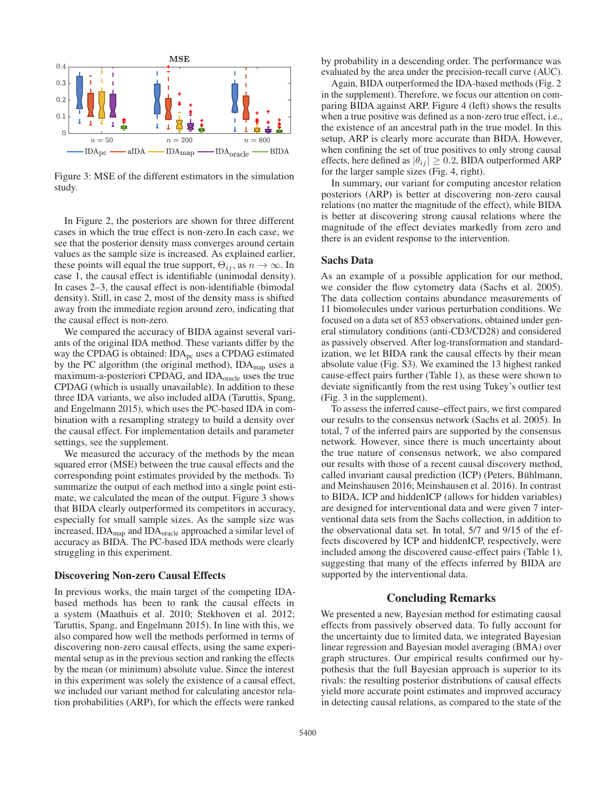

Figure 3: MSE of the different estimators in the simulation study.

In Figure 2, the posteriors are shown for three different cases in which the true effect is non-zero.In each case, we see that the posterior density mass converges around certain values as the sample size is increased. As explained earlier, these points will equal the true support,  $\Theta_{ij}$ , as  $n \to \infty$ . In case 1, the causal effect is identifiable (unimodal density). In cases 2–3, the causal effect is non-identifiable (bimodal density). Still, in case 2, most of the density mass is shifted away from the immediate region around zero, indicating that the causal effect is non-zero.

We compared the accuracy of BIDA against several variants of the original IDA method. These variants differ by the way the CPDAG is obtained:  $IDA<sub>pc</sub>$  uses a CPDAG estimated by the PC algorithm (the original method),  $IDA<sub>map</sub>$  uses a maximum-a-posteriori CPDAG, and IDA<sub>oracle</sub> uses the true CPDAG (which is usually unavailable). In addition to these three IDA variants, we also included aIDA (Taruttis, Spang, and Engelmann 2015), which uses the PC-based IDA in combination with a resampling strategy to build a density over the causal effect. For implementation details and parameter settings, see the supplement.

We measured the accuracy of the methods by the mean squared error (MSE) between the true causal effects and the corresponding point estimates provided by the methods. To summarize the output of each method into a single point estimate, we calculated the mean of the output. Figure 3 shows that BIDA clearly outperformed its competitors in accuracy, especially for small sample sizes. As the sample size was increased, IDAmap and IDAoracle approached a similar level of accuracy as BIDA. The PC-based IDA methods were clearly struggling in this experiment.

#### Discovering Non-zero Causal Effects

In previous works, the main target of the competing IDAbased methods has been to rank the causal effects in a system (Maathuis et al. 2010; Stekhoven et al. 2012; Taruttis, Spang, and Engelmann 2015). In line with this, we also compared how well the methods performed in terms of discovering non-zero causal effects, using the same experimental setup as in the previous section and ranking the effects by the mean (or minimum) absolute value. Since the interest in this experiment was solely the existence of a causal effect, we included our variant method for calculating ancestor relation probabilities (ARP), for which the effects were ranked

by probability in a descending order. The performance was evaluated by the area under the precision-recall curve (AUC).

Again, BIDA outperformed the IDA-based methods (Fig. 2 in the supplement). Therefore, we focus our attention on comparing BIDA against ARP. Figure 4 (left) shows the results when a true positive was defined as a non-zero true effect, i.e., the existence of an ancestral path in the true model. In this setup, ARP is clearly more accurate than BIDA. However, when confining the set of true positives to only strong causal effects, here defined as  $|\theta_{ij}| \geq 0.2$ , BIDA outperformed ARP for the larger sample sizes (Fig. 4, right).

In summary, our variant for computing ancestor relation posteriors (ARP) is better at discovering non-zero causal relations (no matter the magnitude of the effect), while BIDA is better at discovering strong causal relations where the magnitude of the effect deviates markedly from zero and there is an evident response to the intervention.

#### Sachs Data

As an example of a possible application for our method, we consider the flow cytometry data (Sachs et al. 2005). The data collection contains abundance measurements of 11 biomolecules under various perturbation conditions. We focused on a data set of 853 observations, obtained under general stimulatory conditions (anti-CD3/CD28) and considered as passively observed. After log-transformation and standardization, we let BIDA rank the causal effects by their mean absolute value (Fig. S3). We examined the 13 highest ranked cause-effect pairs further (Table 1), as these were shown to deviate significantly from the rest using Tukey's outlier test (Fig. 3 in the supplement).

To assess the inferred cause–effect pairs, we first compared our results to the consensus network (Sachs et al. 2005). In total, 7 of the inferred pairs are supported by the consensus network. However, since there is much uncertainty about the true nature of consensus network, we also compared our results with those of a recent causal discovery method, called invariant causal prediction (ICP) (Peters, Bühlmann, and Meinshausen 2016; Meinshausen et al. 2016). In contrast to BIDA, ICP and hiddenICP (allows for hidden variables) are designed for interventional data and were given 7 interventional data sets from the Sachs collection, in addition to the observational data set. In total, 5/7 and 9/15 of the effects discovered by ICP and hiddenICP, respectively, were included among the discovered cause-effect pairs (Table 1), suggesting that many of the effects inferred by BIDA are supported by the interventional data.

### Concluding Remarks

We presented a new, Bayesian method for estimating causal effects from passively observed data. To fully account for the uncertainty due to limited data, we integrated Bayesian linear regression and Bayesian model averaging (BMA) over graph structures. Our empirical results confirmed our hypothesis that the full Bayesian approach is superior to its rivals: the resulting posterior distributions of causal effects yield more accurate point estimates and improved accuracy in detecting causal relations, as compared to the state of the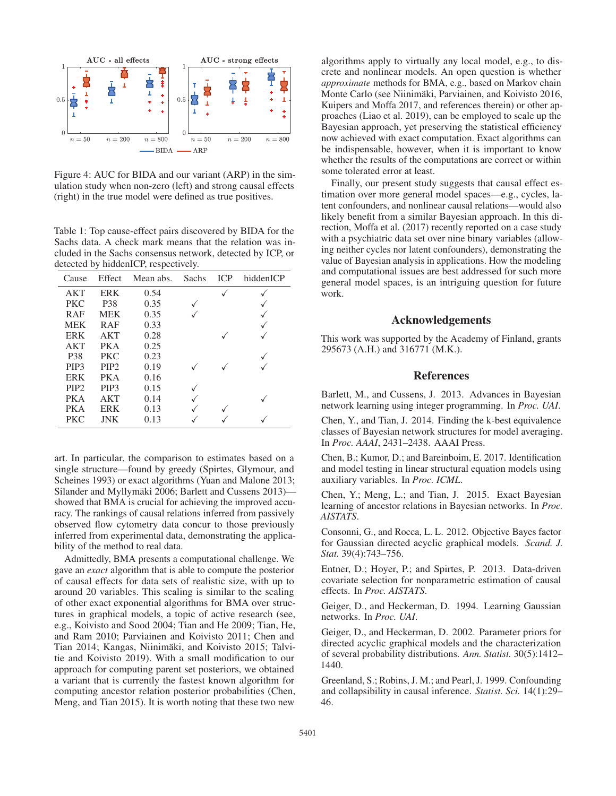

Figure 4: AUC for BIDA and our variant (ARP) in the simulation study when non-zero (left) and strong causal effects (right) in the true model were defined as true positives.

Table 1: Top cause-effect pairs discovered by BIDA for the Sachs data. A check mark means that the relation was included in the Sachs consensus network, detected by ICP, or detected by hiddenICP, respectively.

| Cause            | Effect           | Mean abs. | Sachs | ICP | hiddenICP |
|------------------|------------------|-----------|-------|-----|-----------|
| AKT              | <b>ERK</b>       | 0.54      |       |     |           |
| <b>PKC</b>       | P38              | 0.35      |       |     |           |
| <b>RAF</b>       | <b>MEK</b>       | 0.35      |       |     |           |
| <b>MEK</b>       | <b>RAF</b>       | 0.33      |       |     |           |
| <b>ERK</b>       | AKT              | 0.28      |       |     |           |
| AKT              | PK A             | 0.25      |       |     |           |
| P <sub>38</sub>  | <b>PKC</b>       | 0.23      |       |     |           |
| PIP <sub>3</sub> | PIP <sub>2</sub> | 0.19      |       |     |           |
| <b>ERK</b>       | PK A             | 0.16      |       |     |           |
| PIP <sub>2</sub> | PIP <sub>3</sub> | 0.15      |       |     |           |
| <b>PKA</b>       | AKT              | 0.14      |       |     |           |
| <b>PKA</b>       | <b>ERK</b>       | 0.13      |       |     |           |
| <b>PKC</b>       | JNK              | 0.13      |       |     |           |

art. In particular, the comparison to estimates based on a single structure—found by greedy (Spirtes, Glymour, and Scheines 1993) or exact algorithms (Yuan and Malone 2013; Silander and Myllymäki 2006; Barlett and Cussens 2013) showed that BMA is crucial for achieving the improved accuracy. The rankings of causal relations inferred from passively observed flow cytometry data concur to those previously inferred from experimental data, demonstrating the applicability of the method to real data.

Admittedly, BMA presents a computational challenge. We gave an *exact* algorithm that is able to compute the posterior of causal effects for data sets of realistic size, with up to around 20 variables. This scaling is similar to the scaling of other exact exponential algorithms for BMA over structures in graphical models, a topic of active research (see, e.g., Koivisto and Sood 2004; Tian and He 2009; Tian, He, and Ram 2010; Parviainen and Koivisto 2011; Chen and Tian 2014; Kangas, Niinimäki, and Koivisto 2015; Talvitie and Koivisto 2019). With a small modification to our approach for computing parent set posteriors, we obtained a variant that is currently the fastest known algorithm for computing ancestor relation posterior probabilities (Chen, Meng, and Tian 2015). It is worth noting that these two new

algorithms apply to virtually any local model, e.g., to discrete and nonlinear models. An open question is whether *approximate* methods for BMA, e.g., based on Markov chain Monte Carlo (see Niinimäki, Parviainen, and Koivisto 2016, Kuipers and Moffa 2017, and references therein) or other approaches (Liao et al. 2019), can be employed to scale up the Bayesian approach, yet preserving the statistical efficiency now achieved with exact computation. Exact algorithms can be indispensable, however, when it is important to know whether the results of the computations are correct or within some tolerated error at least.

Finally, our present study suggests that causal effect estimation over more general model spaces—e.g., cycles, latent confounders, and nonlinear causal relations—would also likely benefit from a similar Bayesian approach. In this direction, Moffa et al. (2017) recently reported on a case study with a psychiatric data set over nine binary variables (allowing neither cycles nor latent confounders), demonstrating the value of Bayesian analysis in applications. How the modeling and computational issues are best addressed for such more general model spaces, is an intriguing question for future work.

### Acknowledgements

This work was supported by the Academy of Finland, grants 295673 (A.H.) and 316771 (M.K.).

## References

Barlett, M., and Cussens, J. 2013. Advances in Bayesian network learning using integer programming. In *Proc. UAI*.

Chen, Y., and Tian, J. 2014. Finding the k-best equivalence classes of Bayesian network structures for model averaging. In *Proc. AAAI*, 2431–2438. AAAI Press.

Chen, B.; Kumor, D.; and Bareinboim, E. 2017. Identification and model testing in linear structural equation models using auxiliary variables. In *Proc. ICML*.

Chen, Y.; Meng, L.; and Tian, J. 2015. Exact Bayesian learning of ancestor relations in Bayesian networks. In *Proc. AISTATS*.

Consonni, G., and Rocca, L. L. 2012. Objective Bayes factor for Gaussian directed acyclic graphical models. *Scand. J. Stat.* 39(4):743–756.

Entner, D.; Hoyer, P.; and Spirtes, P. 2013. Data-driven covariate selection for nonparametric estimation of causal effects. In *Proc. AISTATS*.

Geiger, D., and Heckerman, D. 1994. Learning Gaussian networks. In *Proc. UAI*.

Geiger, D., and Heckerman, D. 2002. Parameter priors for directed acyclic graphical models and the characterization of several probability distributions. *Ann. Statist.* 30(5):1412– 1440.

Greenland, S.; Robins, J. M.; and Pearl, J. 1999. Confounding and collapsibility in causal inference. *Statist. Sci.* 14(1):29– 46.